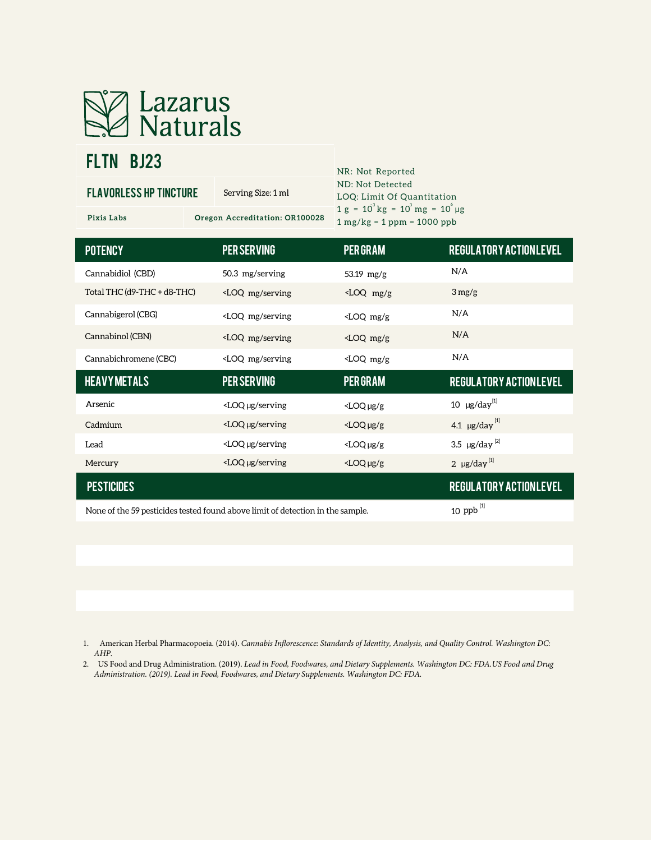

# FLTN BJ23

| <b>FLAVORLESS HP TINCTURE</b>      | Serving Size: 1 ml                                                                                                                  | ND: Not Detected<br>LOQ: Limit Of Quantitation                               |                                             |
|------------------------------------|-------------------------------------------------------------------------------------------------------------------------------------|------------------------------------------------------------------------------|---------------------------------------------|
| Pixis Labs                         | Oregon Accreditation: OR100028                                                                                                      | $1 g = 10^{3} kg = 10^{3} mg = 10^{6} \mu g$<br>$1 mg/kg = 1 ppm = 1000 ppb$ |                                             |
| <b>POTENCY</b>                     | <b>PER SERVING</b>                                                                                                                  | <b>PER GRAM</b>                                                              | <b>REGULATORY ACTIONLEVEL</b>               |
| Cannabidiol (CBD)                  | 50.3 mg/serving                                                                                                                     | 53.19 $mg/g$                                                                 | N/A                                         |
| Total THC ( $d9$ -THC + $d8$ -THC) | <loq mg="" serving<="" td=""><td><loq g<="" mg="" td=""><td><math>3 \,\mathrm{mg/g}</math></td></loq></td></loq>                    | <loq g<="" mg="" td=""><td><math>3 \,\mathrm{mg/g}</math></td></loq>         | $3 \,\mathrm{mg/g}$                         |
| Cannabigerol (CBG)                 | <loq mg="" serving<="" td=""><td><math>\angle</math>LOQ mg/g</td><td>N/A</td></loq>                                                 | $\angle$ LOQ mg/g                                                            | N/A                                         |
| Cannabinol (CBN)                   | <loq mg="" serving<="" td=""><td><math>\angle</math>LOQ mg/g</td><td>N/A</td></loq>                                                 | $\angle$ LOQ mg/g                                                            | N/A                                         |
| Cannabichromene (CBC)              | <loq mg="" serving<="" td=""><td><math>\angle</math>LOQ mg/g</td><td>N/A</td></loq>                                                 | $\angle$ LOQ mg/g                                                            | N/A                                         |
| <b>HEAVYMETALS</b>                 | <b>PER SERVING</b>                                                                                                                  | <b>PER GRAM</b>                                                              | <b>REGULATORY ACTIONLEVEL</b>               |
| Arsenic                            | <loq serving<="" td="" µg=""><td><math>&lt;</math>LOQ <math>\mu</math>g/g</td><td>10 <math>\mu</math>g/day<sup>[1]</sup></td></loq> | $<$ LOQ $\mu$ g/g                                                            | 10 $\mu$ g/day <sup>[1]</sup>               |
| Cadmium                            | $<$ LOQ $\mu$ g/serving                                                                                                             | $<$ LOQ $\mu$ g/g                                                            | 4.1 $\mu$ g/day <sup>[1]</sup>              |
| Lead                               | <loq serving<="" td="" µg=""><td>3.5 <math>\mu</math>g/day<sup>[2]</sup></td></loq>                                                 |                                                                              | 3.5 $\mu$ g/day <sup>[2]</sup>              |
| Mercury                            | <loq serving<="" td="" µg=""><td>2 <math>\mu</math>g/day<sup>[1]</sup></td></loq>                                                   |                                                                              | 2 $\mu$ g/day <sup>[1]</sup>                |
| <b>PESTICIDES</b>                  |                                                                                                                                     |                                                                              | <b>REGULATORY ACTIONLEVEL</b><br><b>F11</b> |

NR: Not Reported

None of the 59 pesticides tested found above limit of detection in the sample.

ppb [1]

1. American Herbal Pharmacopoeia. (2014). *Cannabis Inflorescence: Standards of Identity, Analysis, and Quality Control. Washington DC: AHP.*

2. US Food and Drug Administration. (2019). *Lead in Food, Foodwares, and Dietary Supplements. Washington DC: FDA.US Food and Drug Administration. (2019). Lead in Food, Foodwares, and Dietary Supplements. Washington DC: FDA.*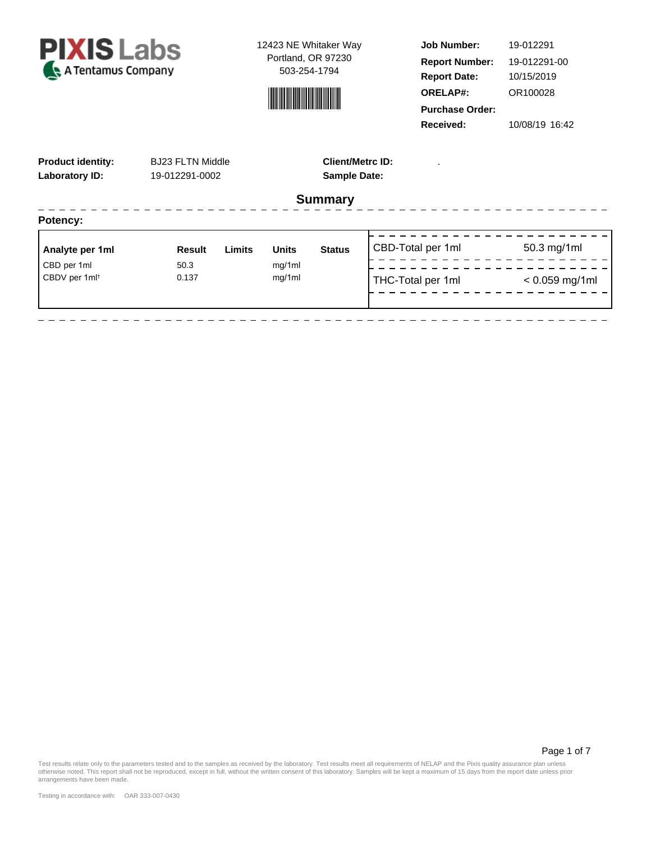



**Job Number: Report Date: ORELAP#:** 10/15/2019 OR100028 **Received:** 10/08/19 16:42 **Purchase Order:** 19-012291 **Report Number:** 19-012291-00

Page 1 of 7

| <b>Product identity:</b><br><b>Laboratory ID:</b> | <b>BJ23 FLTN Middle</b><br>19-012291-0002 |        | <b>Client/Metrc ID:</b><br><b>Sample Date:</b> |                |                   |                  |
|---------------------------------------------------|-------------------------------------------|--------|------------------------------------------------|----------------|-------------------|------------------|
|                                                   |                                           |        |                                                | <b>Summary</b> |                   |                  |
| Potency:                                          |                                           |        |                                                |                |                   |                  |
| Analyte per 1ml                                   | <b>Result</b>                             | Limits | <b>Units</b>                                   | <b>Status</b>  | CBD-Total per 1ml | 50.3 mg/1ml      |
| CBD per 1ml                                       | 50.3                                      |        | mg/1ml                                         |                |                   |                  |
| CBDV per 1ml <sup>t</sup>                         | 0.137                                     |        | mg/1ml                                         |                | THC-Total per 1ml | $< 0.059$ mg/1ml |
|                                                   |                                           |        |                                                |                |                   |                  |

Test results relate only to the parameters tested and to the samples as received by the laboratory. Test results meet all requirements of NELAP and the Pixis quality assurance plan unless<br>otherwise noted. This report shall

arrangements have been made.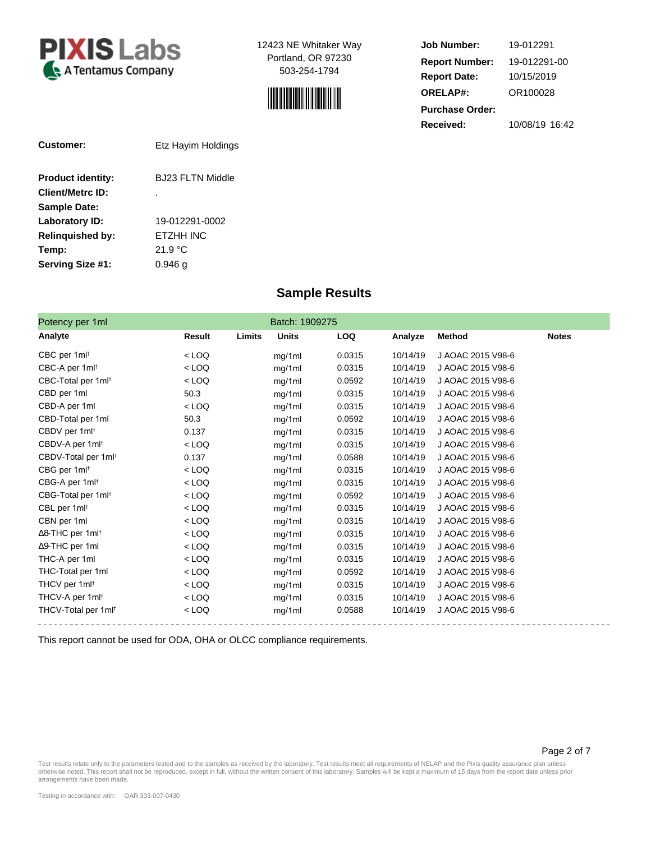



| <b>Job Number:</b>     | 19-012291      |  |  |  |  |  |
|------------------------|----------------|--|--|--|--|--|
| <b>Report Number:</b>  | 19-012291-00   |  |  |  |  |  |
| <b>Report Date:</b>    | 10/15/2019     |  |  |  |  |  |
| <b>ORELAP#:</b>        | OR100028       |  |  |  |  |  |
| <b>Purchase Order:</b> |                |  |  |  |  |  |
| Received:              | 10/08/19 16:42 |  |  |  |  |  |

| Customer:                | Etz Hayim Holdings |  |  |  |
|--------------------------|--------------------|--|--|--|
| <b>Product identity:</b> | BJ23 FLTN Middle   |  |  |  |
| <b>Client/Metrc ID:</b>  | ٠                  |  |  |  |
| <b>Sample Date:</b>      |                    |  |  |  |
| Laboratory ID:           | 19-012291-0002     |  |  |  |
| <b>Relinguished by:</b>  | ETZHH INC          |  |  |  |
| Temp:                    | 21.9 °C            |  |  |  |
| Serving Size #1:         | 0.946 a            |  |  |  |

### **Sample Results**

| Potency per 1ml                 |               |        | Batch: 1909275 |        |          |                   |              |
|---------------------------------|---------------|--------|----------------|--------|----------|-------------------|--------------|
| Analyte                         | <b>Result</b> | Limits | <b>Units</b>   | LOQ    | Analyze  | <b>Method</b>     | <b>Notes</b> |
| CBC per 1ml <sup>t</sup>        | $<$ LOQ       |        | mg/1ml         | 0.0315 | 10/14/19 | J AOAC 2015 V98-6 |              |
| CBC-A per 1ml <sup>t</sup>      | $<$ LOQ       |        | mg/1ml         | 0.0315 | 10/14/19 | J AOAC 2015 V98-6 |              |
| CBC-Total per 1ml <sup>t</sup>  | $<$ LOQ       |        | mg/1ml         | 0.0592 | 10/14/19 | J AOAC 2015 V98-6 |              |
| CBD per 1ml                     | 50.3          |        | mg/1ml         | 0.0315 | 10/14/19 | J AOAC 2015 V98-6 |              |
| CBD-A per 1ml                   | $<$ LOQ       |        | mg/1ml         | 0.0315 | 10/14/19 | J AOAC 2015 V98-6 |              |
| CBD-Total per 1ml               | 50.3          |        | mg/1ml         | 0.0592 | 10/14/19 | J AOAC 2015 V98-6 |              |
| CBDV per 1ml <sup>t</sup>       | 0.137         |        | mg/1ml         | 0.0315 | 10/14/19 | J AOAC 2015 V98-6 |              |
| CBDV-A per 1ml <sup>t</sup>     | $<$ LOQ       |        | mg/1ml         | 0.0315 | 10/14/19 | J AOAC 2015 V98-6 |              |
| CBDV-Total per 1ml <sup>t</sup> | 0.137         |        | mg/1ml         | 0.0588 | 10/14/19 | J AOAC 2015 V98-6 |              |
| CBG per 1ml <sup>t</sup>        | $<$ LOQ       |        | mg/1ml         | 0.0315 | 10/14/19 | J AOAC 2015 V98-6 |              |
| CBG-A per 1ml <sup>t</sup>      | $<$ LOQ       |        | mg/1ml         | 0.0315 | 10/14/19 | J AOAC 2015 V98-6 |              |
| CBG-Total per 1ml <sup>t</sup>  | $<$ LOQ       |        | mg/1ml         | 0.0592 | 10/14/19 | J AOAC 2015 V98-6 |              |
| CBL per 1ml <sup>t</sup>        | $<$ LOQ       |        | mg/1ml         | 0.0315 | 10/14/19 | J AOAC 2015 V98-6 |              |
| CBN per 1ml                     | $<$ LOQ       |        | mg/1ml         | 0.0315 | 10/14/19 | J AOAC 2015 V98-6 |              |
| ∆8-THC per 1ml <sup>t</sup>     | $<$ LOQ       |        | mg/1ml         | 0.0315 | 10/14/19 | J AOAC 2015 V98-6 |              |
| $\Delta$ 9-THC per 1ml          | $<$ LOQ       |        | mg/1ml         | 0.0315 | 10/14/19 | J AOAC 2015 V98-6 |              |
| THC-A per 1ml                   | $<$ LOQ       |        | mg/1ml         | 0.0315 | 10/14/19 | J AOAC 2015 V98-6 |              |
| THC-Total per 1ml               | $<$ LOQ       |        | mg/1ml         | 0.0592 | 10/14/19 | J AOAC 2015 V98-6 |              |
| THCV per 1ml <sup>t</sup>       | $<$ LOQ       |        | mg/1ml         | 0.0315 | 10/14/19 | J AOAC 2015 V98-6 |              |
| THCV-A per 1ml <sup>t</sup>     | $<$ LOQ       |        | mg/1ml         | 0.0315 | 10/14/19 | J AOAC 2015 V98-6 |              |
| THCV-Total per 1ml <sup>t</sup> | $<$ LOQ       |        | mg/1ml         | 0.0588 | 10/14/19 | J AOAC 2015 V98-6 |              |

This report cannot be used for ODA, OHA or OLCC compliance requirements.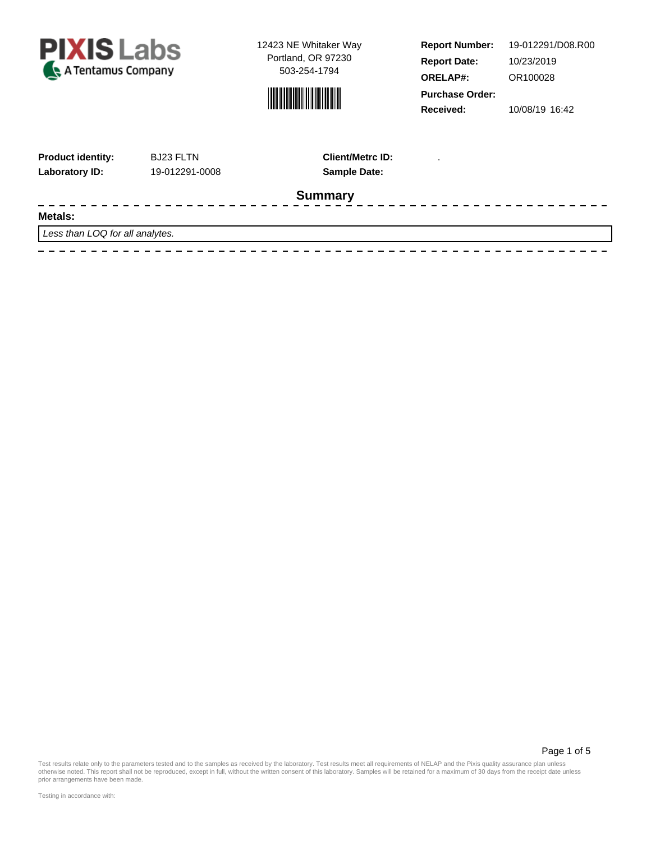



**Report Number: Report Date: ORELAP#:** 10/23/2019 OR100028 **Received:** 10/08/19 16:42 **Purchase Order:** 19-012291/D08.R00

 $\frac{1}{2}$ 

| <b>Product identity:</b> | <b>BJ23 FLTN</b> |
|--------------------------|------------------|
| Laboratory ID:           | 19-012291-0008   |

 $\frac{1}{2}$ 

**Sample Date: Client/Metrc ID:** .

\_\_\_\_\_\_\_\_\_\_\_\_\_\_\_\_\_\_\_\_\_\_\_\_\_\_\_\_\_\_\_\_\_\_\_\_\_\_

## **Summary**

#### $\frac{1}{2}$ **Metals:**

Less than LOQ for all analytes.

<u> 2 2 2 2 2 2 2</u>

Page 1 of 5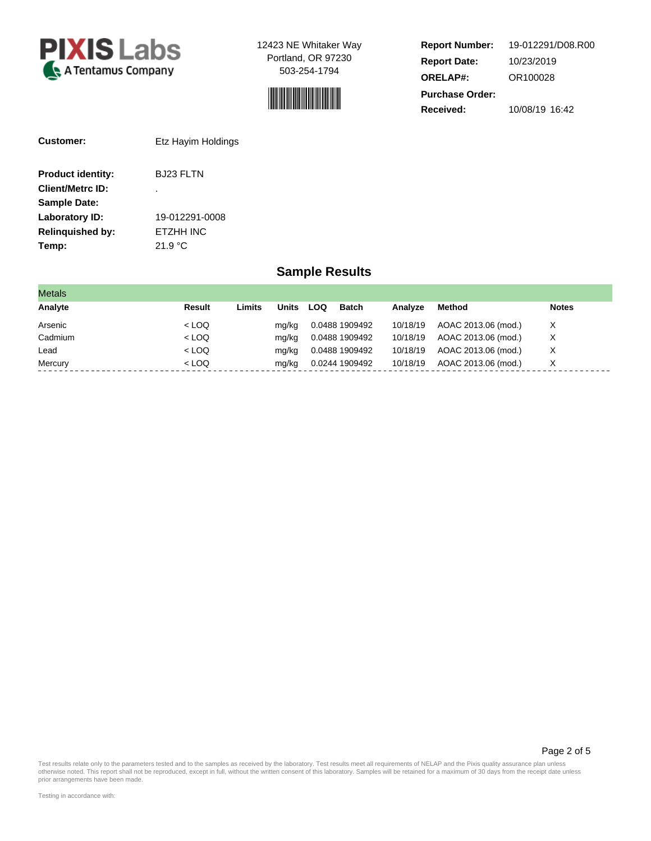



**Report Number: Report Date: ORELAP#:** 10/23/2019 OR100028 **Received:** 10/08/19 16:42 **Purchase Order:** 19-012291/D08.R00

| Customer:                | Etz Hayim Holdings |  |  |  |  |
|--------------------------|--------------------|--|--|--|--|
| <b>Product identity:</b> | BJ23 FLTN          |  |  |  |  |
| <b>Client/Metrc ID:</b>  | ٠                  |  |  |  |  |
| <b>Sample Date:</b>      |                    |  |  |  |  |
| Laboratory ID:           | 19-012291-0008     |  |  |  |  |
| <b>Relinguished by:</b>  | ETZHH INC          |  |  |  |  |
| Temp:                    | 21.9 °C            |  |  |  |  |

### **Sample Results**

| <b>Metals</b> |         |        |       |            |                |          |                     |              |
|---------------|---------|--------|-------|------------|----------------|----------|---------------------|--------------|
| Analyte       | Result  | Limits | Units | <b>LOQ</b> | <b>Batch</b>   | Analyze  | <b>Method</b>       | <b>Notes</b> |
| Arsenic       | $<$ LOQ |        | mg/kg |            | 0.0488 1909492 | 10/18/19 | AOAC 2013.06 (mod.) | X            |
| Cadmium       | $<$ LOQ |        | mg/kg |            | 0.0488 1909492 | 10/18/19 | AOAC 2013.06 (mod.) | х            |
| Lead          | $<$ LOQ |        | mg/kg |            | 0.0488 1909492 | 10/18/19 | AOAC 2013.06 (mod.) | X            |
| Mercury       | $<$ LOQ |        | mg/kg |            | 0.0244 1909492 | 10/18/19 | AOAC 2013.06 (mod.) | Х            |

Page 2 of 5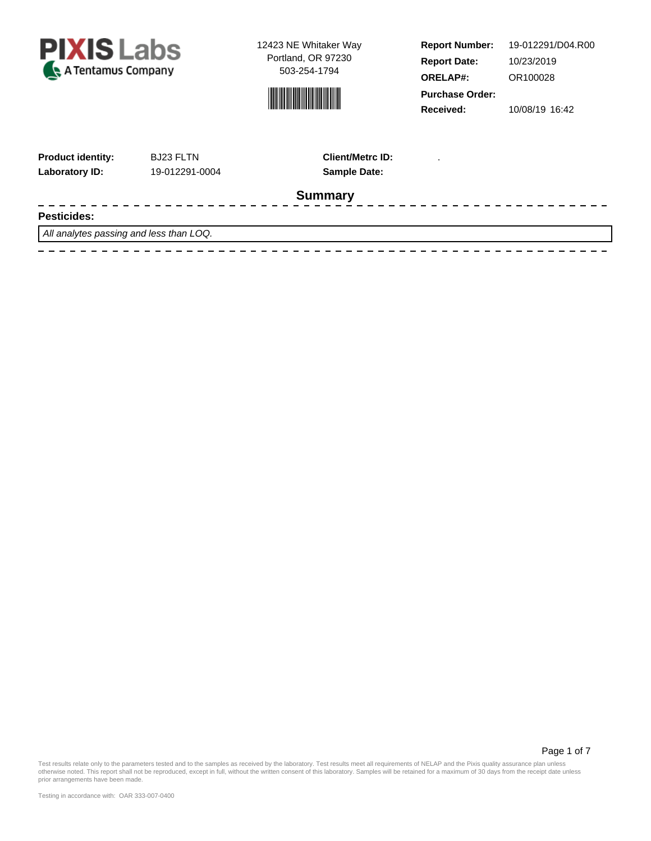



**Report Number: Report Date: ORELAP#:** 10/23/2019 OR100028 **Received:** 10/08/19 16:42 **Purchase Order:** 19-012291/D04.R00

---------------

| <b>Product identity:</b> | <b>BJ23 FLTN</b> |
|--------------------------|------------------|
| Laboratory ID:           | 19-012291-0      |

 $\frac{1}{2}$ 

**Laboratory ID:** 19-012291-0004 **Sample Date: Client/Metrc ID:** .

#### **Summary**

#### **Pesticides:**

All analytes passing and less than LOQ.

Page 1 of 7